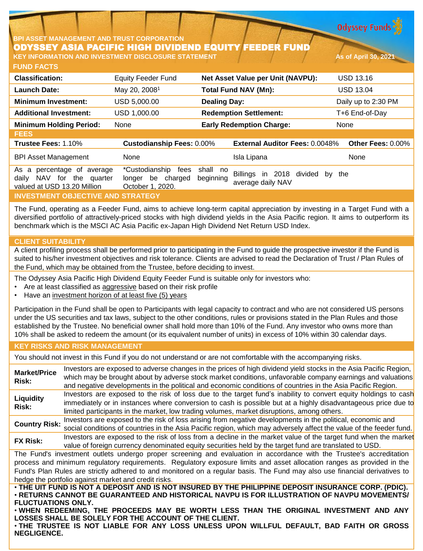**Odyssey Funds** 

### **BPI ASSET MANAGEMENT AND TRUST CORPORATION** ODYSSEY ASIA PACIFIC HIGH DIVIDEND EQUITY FEEDER FUND **KEY INFORMATION AND INVESTMENT DISCLOSURE STATEMENT As of April 30, 2021**

**FUND FACTS**

| <b>Classification:</b>                                                                    | <b>Equity Feeder Fund</b>                                       | Net Asset Value per Unit (NAVPU):                                         | <b>USD 13.16</b>    |
|-------------------------------------------------------------------------------------------|-----------------------------------------------------------------|---------------------------------------------------------------------------|---------------------|
| <b>Launch Date:</b>                                                                       | May 20, 2008 <sup>1</sup>                                       | <b>Total Fund NAV (Mn):</b>                                               | <b>USD 13.04</b>    |
| <b>Minimum Investment:</b>                                                                | USD 5,000.00                                                    | <b>Dealing Day:</b>                                                       | Daily up to 2:30 PM |
| <b>Additional Investment:</b>                                                             | USD 1,000.00                                                    | <b>Redemption Settlement:</b>                                             | T+6 End-of-Day      |
| <b>Minimum Holding Period:</b>                                                            | None                                                            | <b>Early Redemption Charge:</b>                                           | None                |
| <b>FEES</b>                                                                               |                                                                 |                                                                           |                     |
| Trustee Fees: 1.10%                                                                       | <b>Custodianship Fees: 0.00%</b>                                | <b>External Auditor Fees: 0.0048%</b>                                     | Other Fees: 0.00%   |
| <b>BPI Asset Management</b>                                                               | None                                                            | Isla Lipana                                                               | None                |
| As a percentage of average<br>NAV for the quarter<br>daily<br>valued at USD 13.20 Million | *Custodianship<br>fees<br>longer be charged<br>October 1, 2020. | shall no<br>Billings in 2018 divided by<br>beginning<br>average daily NAV | the                 |
| <b>INVESTMENT OBJECTIVE AND STRATEGY</b>                                                  |                                                                 |                                                                           |                     |

The Fund, operating as a Feeder Fund, aims to achieve long-term capital appreciation by investing in a Target Fund with a diversified portfolio of attractively-priced stocks with high dividend yields in the Asia Pacific region. It aims to outperform its benchmark which is the MSCI AC Asia Pacific ex-Japan High Dividend Net Return USD Index.

# **CLIENT SUITABILITY**

A client profiling process shall be performed prior to participating in the Fund to guide the prospective investor if the Fund is suited to his/her investment objectives and risk tolerance. Clients are advised to read the Declaration of Trust / Plan Rules of the Fund, which may be obtained from the Trustee, before deciding to invest.

The Odyssey Asia Pacific High Dividend Equity Feeder Fund is suitable only for investors who:

- Are at least classified as aggressive based on their risk profile
- Have an investment horizon of at least five (5) years

Participation in the Fund shall be open to Participants with legal capacity to contract and who are not considered US persons under the US securities and tax laws, subject to the other conditions, rules or provisions stated in the Plan Rules and those established by the Trustee. No beneficial owner shall hold more than 10% of the Fund. Any investor who owns more than 10% shall be asked to redeem the amount (or its equivalent number of units) in excess of 10% within 30 calendar days.

# **KEY RISKS AND RISK MANAGEMENT**

You should not invest in this Fund if you do not understand or are not comfortable with the accompanying risks.

**Market/Price Risk:** Investors are exposed to adverse changes in the prices of high dividend yield stocks in the Asia Pacific Region, which may be brought about by adverse stock market conditions, unfavorable company earnings and valuations and negative developments in the political and economic conditions of countries in the Asia Pacific Region. **Liquidity Risk:** Investors are exposed to the risk of loss due to the target fund's inability to convert equity holdings to cash immediately or in instances where conversion to cash is possible but at a highly disadvantageous price due to limited participants in the market, low trading volumes, market disruptions, among others. **Country Risk:** Investors are exposed to the risk of loss arising from negative developments in the political, economic and social conditions of countries in the Asia Pacific region, which may adversely affect the value of the feeder fund. **FX Risk:** Investors are exposed to the risk of loss from <sup>a</sup> decline in the market value of the target fund when the market value of foreign currency denominated equity securities held by the target fund are translated to USD. The Fund's investment outlets undergo proper screening and evaluation in accordance with the Trustee's accreditation process and minimum regulatory requirements. Regulatory exposure limits and asset allocation ranges as provided in the Fund's Plan Rules are strictly adhered to and monitored on a regular basis. The Fund may also use financial derivatives to hedge the portfolio against market and credit risks. . THE UIT FUND IS NOT A DEPOSIT AND IS NOT INSURED BY THE PHILIPPINE DEPOSIT INSURANCE CORP. (PDIC). • **RETURNS CANNOT BE GUARANTEED AND HISTORICAL NAVPU IS FOR ILLUSTRATION OF NAVPU MOVEMENTS/ FLUCTUATIONS ONLY.**

• **WHEN REDEEMING, THE PROCEEDS MAY BE WORTH LESS THAN THE ORIGINAL INVESTMENT AND ANY LOSSES SHALL BE SOLELY FOR THE ACCOUNT OF THE CLIENT.**

• **THE TRUSTEE IS NOT LIABLE FOR ANY LOSS UNLESS UPON WILLFUL DEFAULT, BAD FAITH OR GROSS NEGLIGENCE.**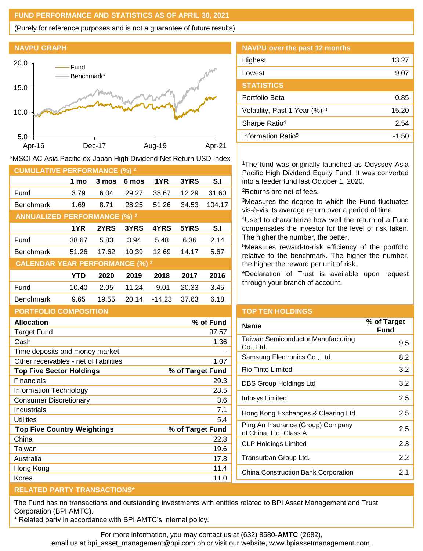## **FUND PERFORMANCE AND STATISTICS AS OF APRIL 30, 2021**

(Purely for reference purposes and is not a guarantee of future results)

**NAVPU GRAPH**



\*MSCI AC Asia Pacific ex-Japan High Dividend Net Return USD Index

| <b>CUMULATIVE PERFORMANCE (%) 2</b>    |       |       |       |          |       |           |
|----------------------------------------|-------|-------|-------|----------|-------|-----------|
|                                        | 1 mo  | 3 mos | 6 mos | 1YR      | 3YRS  | S.I       |
| Fund                                   | 3.79  | 6.04  | 29.27 | 38.67    | 12.29 | 31.60     |
| <b>Benchmark</b>                       | 1.69  | 8.71  | 28.25 | 51.26    | 34.53 | 104.17    |
| <b>ANNUALIZED PERFORMANCE (%) 2</b>    |       |       |       |          |       |           |
|                                        | 1YR   | 2YRS  | 3YRS  | 4YRS     | 5YRS  | S.I       |
| Fund                                   | 38.67 | 5.83  | 3.94  | 5.48     | 6.36  | 2.14      |
| <b>Benchmark</b>                       | 51.26 | 17.62 | 10.39 | 12.69    | 14.17 | 5.67      |
| <b>CALENDAR YEAR PERFORMANCE (%) 2</b> |       |       |       |          |       |           |
|                                        | YTD   | 2020  | 2019  | 2018     | 2017  | 2016      |
| Fund                                   | 10.40 | 2.05  | 11.24 | $-9.01$  | 20.33 | 3.45      |
| <b>Benchmark</b>                       | 9.65  | 19.55 | 20.14 | $-14.23$ | 37.63 | 6.18      |
| <b>PORTFOLIO COMPOSITION</b>           |       |       |       |          |       |           |
| <b>Allocation</b>                      |       |       |       |          |       | % of Fund |

| <b>Target Fund</b>                     | 97.57            |
|----------------------------------------|------------------|
| Cash                                   | 1.36             |
| Time deposits and money market         |                  |
| Other receivables - net of liabilities | 1.07             |
| <b>Top Five Sector Holdings</b>        | % of Target Fund |
| <b>Financials</b>                      | 29.3             |
| Information Technology                 | 28.5             |
| <b>Consumer Discretionary</b>          | 8.6              |
| Industrials                            | 7.1              |
| Utilities                              | 5.4              |
| <b>Top Five Country Weightings</b>     | % of Target Fund |
| China                                  | 22.3             |
| Taiwan                                 | 19.6             |
| Australia                              | 17.8             |
| Hong Kong                              | 11.4             |
| Korea                                  | 11.0             |
|                                        |                  |

# **NAVPU over the past 12 months** Highest 13.27 Lowest 9.07 **STATISTICS** Portfolio Beta 0.85 Volatility, Past 1 Year  $(\%)$ <sup>3</sup> 15.20 Sharpe Ratio<sup>4</sup> 2.54 Information Ratio<sup>5</sup> and American control of the 1.50

<sup>1</sup>The fund was originally launched as Odyssey Asia Pacific High Dividend Equity Fund. It was converted into a feeder fund last October 1, 2020. <sup>2</sup>Returns are net of fees.

<sup>3</sup>Measures the degree to which the Fund fluctuates vis-à-vis its average return over a period of time.

<sup>4</sup>Used to characterize how well the return of a Fund compensates the investor for the level of risk taken. The higher the number, the better.

<sup>5</sup>Measures reward-to-risk efficiency of the portfolio relative to the benchmark. The higher the number, the higher the reward per unit of risk.

\*Declaration of Trust is available upon request through your branch of account.

### **TOP TEN HOLDINGS**

| Name                                                        | % of Target<br>Fund |
|-------------------------------------------------------------|---------------------|
| Taiwan Semiconductor Manufacturing<br>Co., Ltd.             | 9.5                 |
| Samsung Electronics Co., Ltd.                               | 8.2                 |
| Rio Tinto Limited                                           | 3.2                 |
| DBS Group Holdings Ltd                                      | 3.2                 |
| Infosys Limited                                             | 2.5                 |
| Hong Kong Exchanges & Clearing Ltd.                         | 2.5                 |
| Ping An Insurance (Group) Company<br>of China, Ltd. Class A | 2.5                 |
| <b>CLP Holdings Limited</b>                                 | 2.3                 |
| Transurban Group Ltd.                                       | 2.2                 |
| China Construction Bank Corporation                         | 2.1                 |
|                                                             |                     |

# **RELATED PARTY TRANSACTIONS\***

The Fund has no transactions and outstanding investments with entities related to BPI Asset Management and Trust Corporation (BPI AMTC).

\* Related party in accordance with BPI AMTC's internal policy.

For more information, you may contact us at (632) 8580-**AMTC** (2682),

email us at bpi\_asset\_management@bpi.com.ph or visit our website, www.bpiassetmanagement.com.